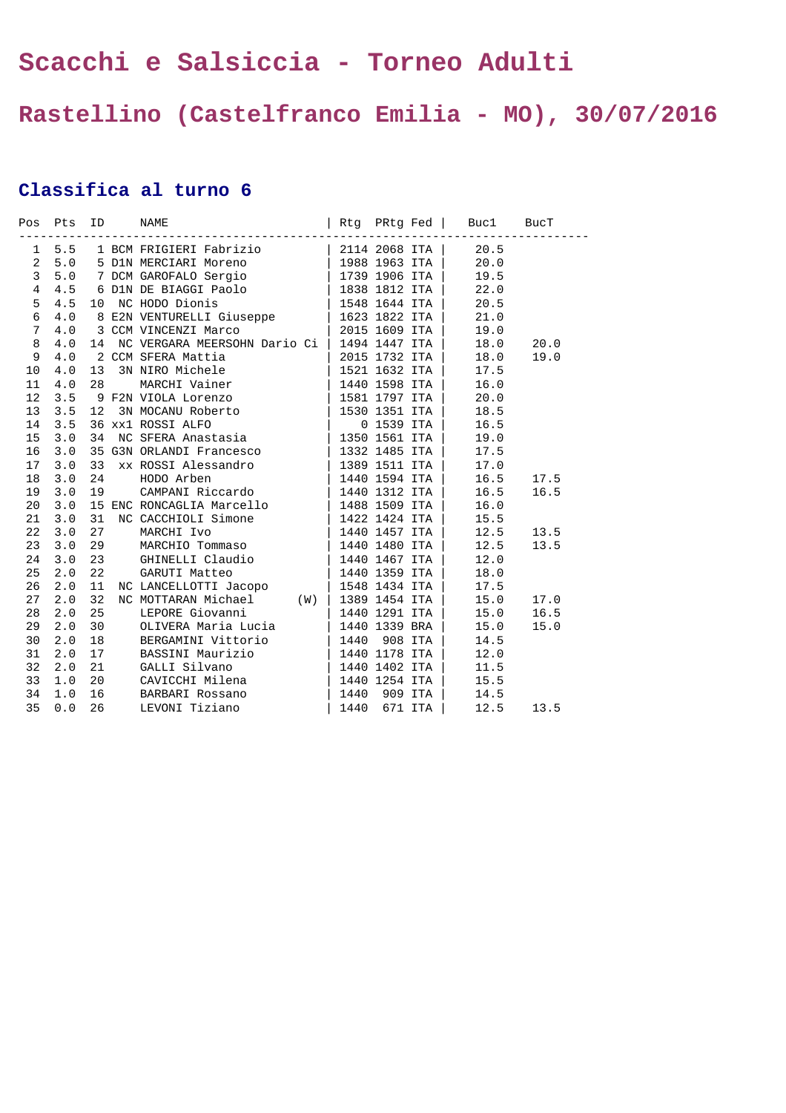## **Scacchi e Salsiccia - Torneo Adulti**

## **Rastellino (Castelfranco Emilia - MO), 30/07/2016**

## **Classifica al turno 6**

|    |     |  | 1 5.5 1 BCM FRIGIERI Fabrizio   2114 2068 ITA   20.5<br>2 5.0 5 DIN MERCIARI Moreno   1988 1963 ITA   20.0<br>3 5.0 7 DCM GAROFALO Sergio   1739 1906 ITA   19.5<br>4 4.5 6 DIN DE BIAGGI Paolo   1838 1812 ITA   22.0<br>5 4.5 10 NC                                                                                                                                                                                            |  |           |      |
|----|-----|--|----------------------------------------------------------------------------------------------------------------------------------------------------------------------------------------------------------------------------------------------------------------------------------------------------------------------------------------------------------------------------------------------------------------------------------|--|-----------|------|
|    |     |  |                                                                                                                                                                                                                                                                                                                                                                                                                                  |  |           |      |
|    |     |  |                                                                                                                                                                                                                                                                                                                                                                                                                                  |  |           |      |
|    |     |  |                                                                                                                                                                                                                                                                                                                                                                                                                                  |  |           |      |
|    |     |  |                                                                                                                                                                                                                                                                                                                                                                                                                                  |  |           |      |
|    |     |  |                                                                                                                                                                                                                                                                                                                                                                                                                                  |  |           |      |
|    |     |  |                                                                                                                                                                                                                                                                                                                                                                                                                                  |  |           |      |
| 8  | 4.0 |  | 14 NC VERGARA MEERSOHN Dario Ci   1494 1447 ITA  <br>$\begin{tabular}{l c c c} \hline 14 & NC VERGARA MEERSOHN Dario C1 & 1494 1447 1TA & \\ 2 CCM SFERA Mattia & 2015 1732 1TA & \\ 13 & 3N MRCMi Uaine & 1521 1632 1TA & \\ 28 & MARCHV Ainer & 1440 1598 1TA & \\ 9 & F2N VIOLA Lorenzo & 1581 1797 1TA & \\ 12 & 3N MOCANU Roberto & 1530 1351 1TA & \\ 34 & NC SFERA Anastasia & 0 1559 1TA & \\ 44 & RODXERA Anastasia & $ |  | 18.0      | 20.0 |
| 9  | 4.0 |  |                                                                                                                                                                                                                                                                                                                                                                                                                                  |  | 18.0      | 19.0 |
| 10 | 4.0 |  |                                                                                                                                                                                                                                                                                                                                                                                                                                  |  | 17.5      |      |
| 11 | 4.0 |  |                                                                                                                                                                                                                                                                                                                                                                                                                                  |  | 16.0      |      |
| 12 | 3.5 |  |                                                                                                                                                                                                                                                                                                                                                                                                                                  |  | 20.0      |      |
| 13 | 3.5 |  |                                                                                                                                                                                                                                                                                                                                                                                                                                  |  | 18.5      |      |
| 14 | 3.5 |  |                                                                                                                                                                                                                                                                                                                                                                                                                                  |  | 16.5      |      |
| 15 | 3.0 |  |                                                                                                                                                                                                                                                                                                                                                                                                                                  |  | 19.0      |      |
| 16 | 3.0 |  |                                                                                                                                                                                                                                                                                                                                                                                                                                  |  | 17.5      |      |
| 17 | 3.0 |  |                                                                                                                                                                                                                                                                                                                                                                                                                                  |  | 17.0      |      |
| 18 | 3.0 |  |                                                                                                                                                                                                                                                                                                                                                                                                                                  |  | 16.5      | 17.5 |
| 19 | 3.0 |  |                                                                                                                                                                                                                                                                                                                                                                                                                                  |  | 16.5      | 16.5 |
| 20 | 3.0 |  |                                                                                                                                                                                                                                                                                                                                                                                                                                  |  | 16.0      |      |
| 21 | 3.0 |  |                                                                                                                                                                                                                                                                                                                                                                                                                                  |  | 15.5      |      |
| 22 | 3.0 |  |                                                                                                                                                                                                                                                                                                                                                                                                                                  |  | 12.5      | 13.5 |
| 23 | 3.0 |  |                                                                                                                                                                                                                                                                                                                                                                                                                                  |  | 12.5      | 13.5 |
| 24 | 3.0 |  |                                                                                                                                                                                                                                                                                                                                                                                                                                  |  | 12.0      |      |
| 25 | 2.0 |  |                                                                                                                                                                                                                                                                                                                                                                                                                                  |  | 18.0      |      |
| 26 | 2.0 |  |                                                                                                                                                                                                                                                                                                                                                                                                                                  |  | 17.5      |      |
| 27 | 2.0 |  |                                                                                                                                                                                                                                                                                                                                                                                                                                  |  | 15.0 17.0 |      |
| 28 | 2.0 |  |                                                                                                                                                                                                                                                                                                                                                                                                                                  |  | 15.0      | 16.5 |
| 29 | 2.0 |  |                                                                                                                                                                                                                                                                                                                                                                                                                                  |  | 15.0      | 15.0 |
| 30 | 2.0 |  |                                                                                                                                                                                                                                                                                                                                                                                                                                  |  | 14.5      |      |
| 31 | 2.0 |  |                                                                                                                                                                                                                                                                                                                                                                                                                                  |  | 12.0      |      |
| 32 | 2.0 |  |                                                                                                                                                                                                                                                                                                                                                                                                                                  |  | 11.5      |      |
| 33 | 1.0 |  | 32 NC MOITARAN MICHAEL (W) 1389 1434 ITA<br>25 LEPORE Giovanni   1440 1291 ITA<br>30 OLIVERA Maria Lucia   1440 1339 BRA<br>18 BERGAMINI Vittorio   1440 908 ITA<br>17 BASSINI Maurizio   1440 1178 ITA<br>21 GALLI Silvano   1440 1402                                                                                                                                                                                          |  | 15.5      |      |
| 34 | 1.0 |  |                                                                                                                                                                                                                                                                                                                                                                                                                                  |  | 14.5      |      |
| 35 | 0.0 |  |                                                                                                                                                                                                                                                                                                                                                                                                                                  |  | 12.5      | 13.5 |